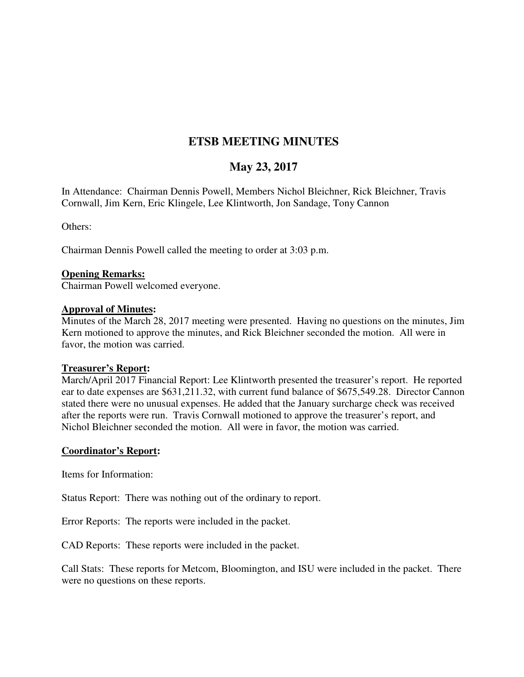# **ETSB MEETING MINUTES**

# **May 23, 2017**

In Attendance: Chairman Dennis Powell, Members Nichol Bleichner, Rick Bleichner, Travis Cornwall, Jim Kern, Eric Klingele, Lee Klintworth, Jon Sandage, Tony Cannon

Others:

Chairman Dennis Powell called the meeting to order at 3:03 p.m.

#### **Opening Remarks:**

Chairman Powell welcomed everyone.

#### **Approval of Minutes:**

Minutes of the March 28, 2017 meeting were presented. Having no questions on the minutes, Jim Kern motioned to approve the minutes, and Rick Bleichner seconded the motion. All were in favor, the motion was carried.

#### **Treasurer's Report:**

March/April 2017 Financial Report: Lee Klintworth presented the treasurer's report. He reported ear to date expenses are \$631,211.32, with current fund balance of \$675,549.28. Director Cannon stated there were no unusual expenses. He added that the January surcharge check was received after the reports were run. Travis Cornwall motioned to approve the treasurer's report, and Nichol Bleichner seconded the motion. All were in favor, the motion was carried.

#### **Coordinator's Report:**

Items for Information:

Status Report: There was nothing out of the ordinary to report.

Error Reports: The reports were included in the packet.

CAD Reports: These reports were included in the packet.

Call Stats: These reports for Metcom, Bloomington, and ISU were included in the packet. There were no questions on these reports.